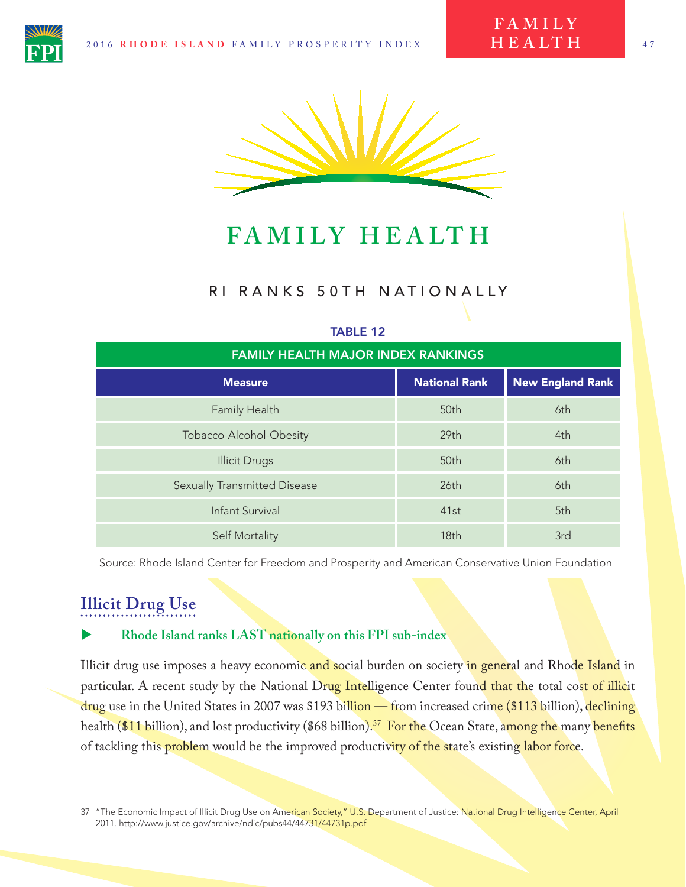**F A M I L Y H E A LT H**



**FA M I LY H E A LT H**

### RI RANKS 50TH NATIONALLY

#### TABLE 12

| <b>FAMILY HEALTH MAJOR INDEX RANKINGS</b> |                      |                         |
|-------------------------------------------|----------------------|-------------------------|
| <b>Measure</b>                            | <b>National Rank</b> | <b>New England Rank</b> |
| Family Health                             | 50th                 | 6th                     |
| Tobacco-Alcohol-Obesity                   | 29 <sub>th</sub>     | 4th                     |
| <b>Illicit Drugs</b>                      | 50th                 | 6th                     |
| <b>Sexually Transmitted Disease</b>       | 26th                 | 6th                     |
| <b>Infant Survival</b>                    | 41st                 | 5th                     |
| <b>Self Mortality</b>                     | 18th                 | 3rd                     |

Source: Rhode Island Center for Freedom and Prosperity and American Conservative Union Foundation

### **Illicit Drug Use**

#### X **Rhode Island ranks LAST nationally on this FPI sub-index**

Illicit drug use imposes a heavy economic and social burden on society in general and Rhode Island in particular. A recent study by the National Drug Intelligence Center found that the total cost of illicit drug use in the United States in 2007 was \$193 billion — from increased crime (\$113 billion), declining health (\$11 billion), and lost productivity (\$68 billion).<sup>37</sup> For the Ocean State, among the many benefits of tackling this **problem** would be the improved productivity of the state's existing labor force.

<sup>37 &</sup>quot;The Economic Impact of Illicit Drug Use on American Society," U.S. Department of Justice: National Drug Intelligence Center, April 2011. http://www.justice.gov/archive/ndic/pubs44/44731/44731p.pdf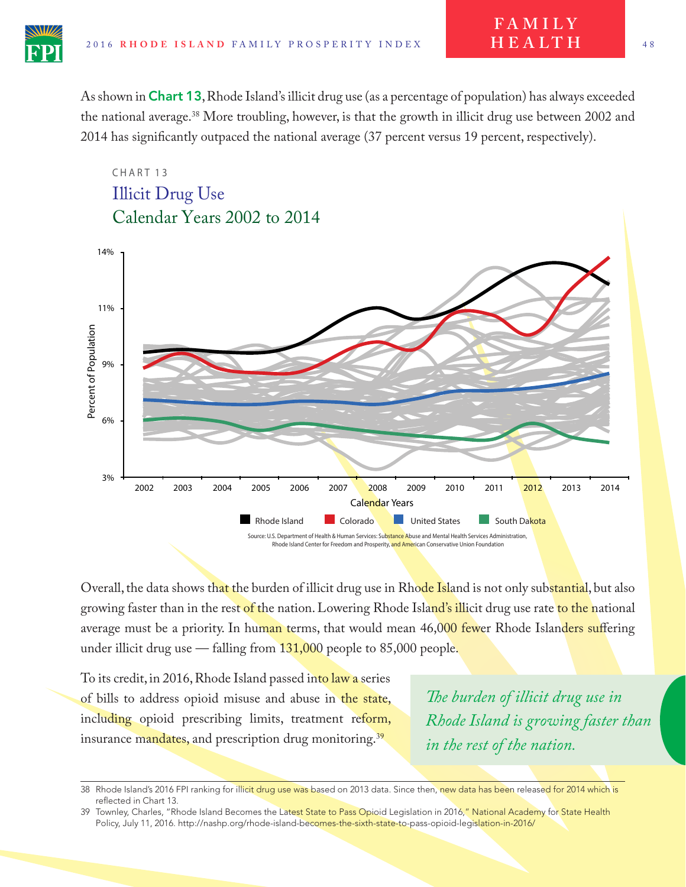As shown in Chart 13, Rhode Island's illicit drug use (as a percentage of population) has always exceeded the national average.38 More troubling, however, is that the growth in illicit drug use between 2002 and 2014 has signifcantly outpaced the national average (37 percent versus 19 percent, respectively).

## CHART<sub>13</sub> Calendar Years 2002 to 2014 Illicit Drug Use



Overall, the data shows that the burden of illicit drug use in Rhode Island is not only substantial, but also growing faster than in the rest of the nation. Lowering Rhode Island's illicit drug use rate to the national average must be a priority. In human terms, that would mean 46,000 fewer Rhode Islanders suffering under illicit drug use  $-$  falling from  $131,000$  people to 85,000 people.

To its credit, in 2016, Rhode Island passed into law a series of bills to address opioid misuse and abuse in the state, including opioid prescribing limits, treatment reform, insurance mandates, and prescription drug monitoring.<sup>39</sup>

*Te burden of illicit drug use in Rhode Island is growing faster than in the rest of the nation.*

**F A M I L Y H E A LT H**

<sup>38</sup> Rhode Island's 2016 FPI ranking for illicit drug use was based on 2013 data. Since then, new data has been released for 2014 which is reflected in Chart 13.

<sup>39</sup> Townley, Charles, "Rhode Island Becomes the Latest State to Pass Opioid Legislation in 2016," National Academy for State Health Policy, July 11, 2016. http://nashp.org/rhode-island-becomes-the-sixth-state-to-pass-opioid-legislation-in-2016/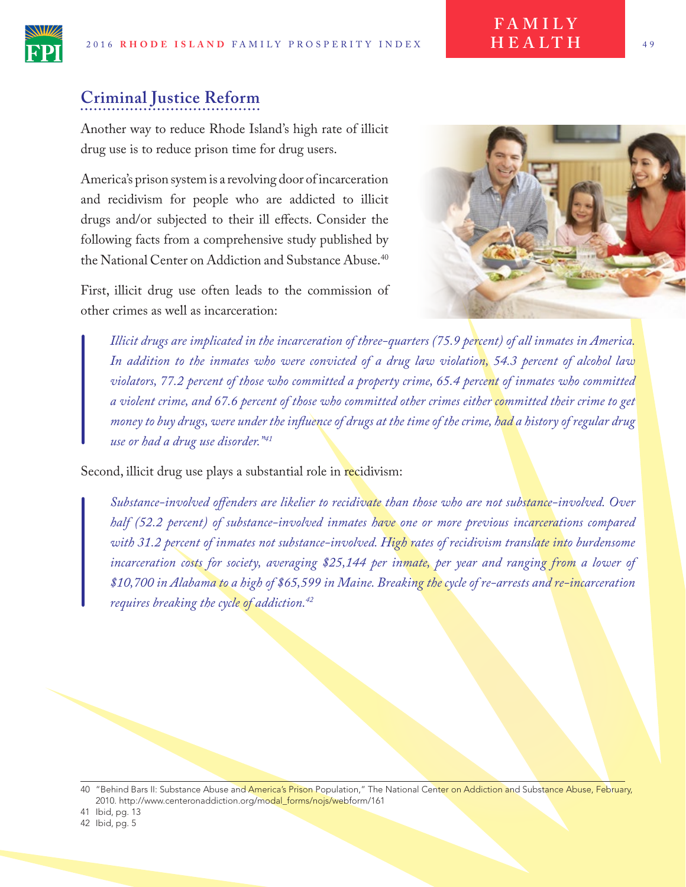# **Criminal Justice Reform**

Another way to reduce Rhode Island's high rate of illicit drug use is to reduce prison time for drug users.

America's prison system is a revolving door of incarceration and recidivism for people who are addicted to illicit drugs and/or subjected to their ill efects. Consider the following facts from a comprehensive study published by the National Center on Addiction and Substance Abuse.<sup>40</sup>

First, illicit drug use often leads to the commission of other crimes as well as incarceration:



**F A M I L Y H E A LT H**

*Illicit drugs are implicated in the incarceration of three-quarters (75.9 percent) of all inmates in America. In addition to the inmates who were convicted of a drug law violation, 54.3 percent of alcohol law violators, 77.2 percent of those who committed a property crime, 65.4 percent of inmates who committed a violent crime, and 67.6 percent of those who committed other crimes either committed their crime to get money to buy drugs, were under the infuence of drugs at the time of the crime, had a history of regular drug use or had a drug use disorder."41*

Second, illicit drug use plays a substantial role in recidivism:

*Substance-involved ofenders are likelier to recidivate than those who are not substance-involved. Over half (52.2 percent) of substance-involved inmates have one or more previous incarcerations compared with 31.2 percent of inmates not substance-involved. High rates of recidivism translate into burdensome incarceration costs for society, averaging \$25,144 per inmate, per year and ranging from a lower of \$10,700 in Alabama to a high of \$65,599 in Maine. Breaking the cycle of re-arrests and re-incarceration requires breaking the cycle of addiction.42*

<sup>40 &</sup>quot;Behind Bars II: Substance Abuse and America's Prison Population," The National Center on Addiction and Substance Abuse, February, 2010. http://www.centeronaddiction.org/modal\_forms/nojs/webform/161

<sup>41</sup> Ibid, pg. 13